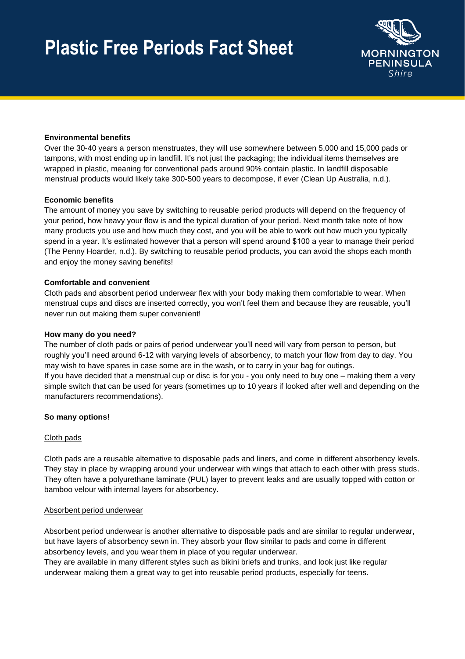## **Plastic Free Periods Fact Sheet**



## **Environmental benefits**

Over the 30-40 years a person menstruates, they will use somewhere between 5,000 and 15,000 pads or tampons, with most ending up in landfill. It's not just the packaging; the individual items themselves are wrapped in plastic, meaning for conventional pads around 90% contain plastic. In landfill disposable menstrual products would likely take 300-500 years to decompose, if ever (Clean Up Australia, n.d.).

## **Economic benefits**

The amount of money you save by switching to reusable period products will depend on the frequency of your period, how heavy your flow is and the typical duration of your period. Next month take note of how many products you use and how much they cost, and you will be able to work out how much you typically spend in a year. It's estimated however that a person will spend around \$100 a year to manage their period (The Penny Hoarder, n.d.). By switching to reusable period products, you can avoid the shops each month and enjoy the money saving benefits!

## **Comfortable and convenient**

Cloth pads and absorbent period underwear flex with your body making them comfortable to wear. When menstrual cups and discs are inserted correctly, you won't feel them and because they are reusable, you'll never run out making them super convenient!

## **How many do you need?**

The number of cloth pads or pairs of period underwear you'll need will vary from person to person, but roughly you'll need around 6-12 with varying levels of absorbency, to match your flow from day to day. You may wish to have spares in case some are in the wash, or to carry in your bag for outings. If you have decided that a menstrual cup or disc is for you - you only need to buy one – making them a very simple switch that can be used for years (sometimes up to 10 years if looked after well and depending on the manufacturers recommendations).

## **So many options!**

## Cloth pads

Cloth pads are a reusable alternative to disposable pads and liners, and come in different absorbency levels. They stay in place by wrapping around your underwear with wings that attach to each other with press studs. They often have a polyurethane laminate (PUL) layer to prevent leaks and are usually topped with cotton or bamboo velour with internal layers for absorbency.

## Absorbent period underwear

Absorbent period underwear is another alternative to disposable pads and are similar to regular underwear, but have layers of absorbency sewn in. They absorb your flow similar to pads and come in different absorbency levels, and you wear them in place of you regular underwear.

They are available in many different styles such as bikini briefs and trunks, and look just like regular underwear making them a great way to get into reusable period products, especially for teens.